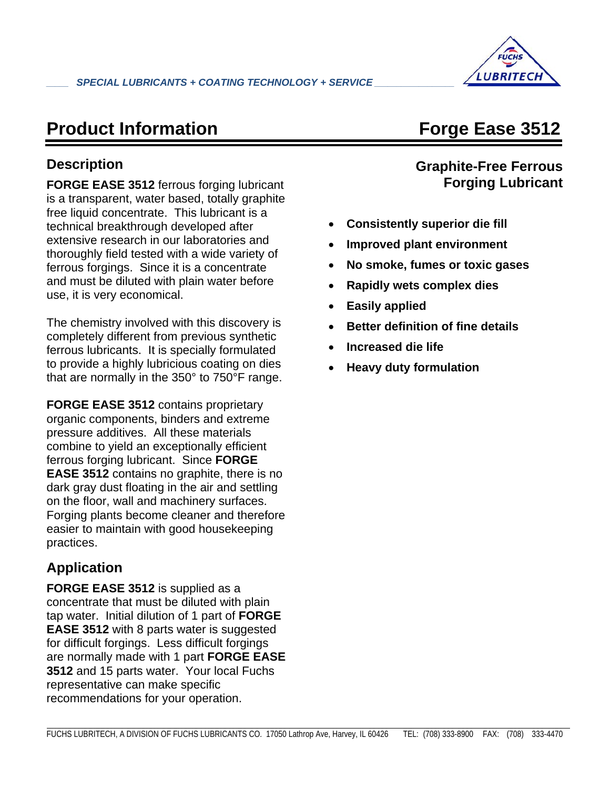

## **Product Information Forge Ease 3512**

### **Description**

**FORGE EASE 3512** ferrous forging lubricant is a transparent, water based, totally graphite free liquid concentrate. This lubricant is a technical breakthrough developed after extensive research in our laboratories and thoroughly field tested with a wide variety of ferrous forgings. Since it is a concentrate and must be diluted with plain water before use, it is very economical.

The chemistry involved with this discovery is completely different from previous synthetic ferrous lubricants. It is specially formulated to provide a highly lubricious coating on dies that are normally in the 350° to 750°F range.

**FORGE EASE 3512** contains proprietary organic components, binders and extreme pressure additives. All these materials combine to yield an exceptionally efficient ferrous forging lubricant. Since **FORGE EASE 3512** contains no graphite, there is no dark gray dust floating in the air and settling on the floor, wall and machinery surfaces. Forging plants become cleaner and therefore easier to maintain with good housekeeping practices.

### **Application**

**FORGE EASE 3512** is supplied as a concentrate that must be diluted with plain tap water. Initial dilution of 1 part of **FORGE EASE 3512** with 8 parts water is suggested for difficult forgings. Less difficult forgings are normally made with 1 part **FORGE EASE 3512** and 15 parts water. Your local Fuchs representative can make specific recommendations for your operation.

### **Graphite-Free Ferrous Forging Lubricant**

- **Consistently superior die fill**
- **Improved plant environment**
- **No smoke, fumes or toxic gases**
- **Rapidly wets complex dies**
- **Easily applied**
- **Better definition of fine details**
- **Increased die life**
- **Heavy duty formulation**